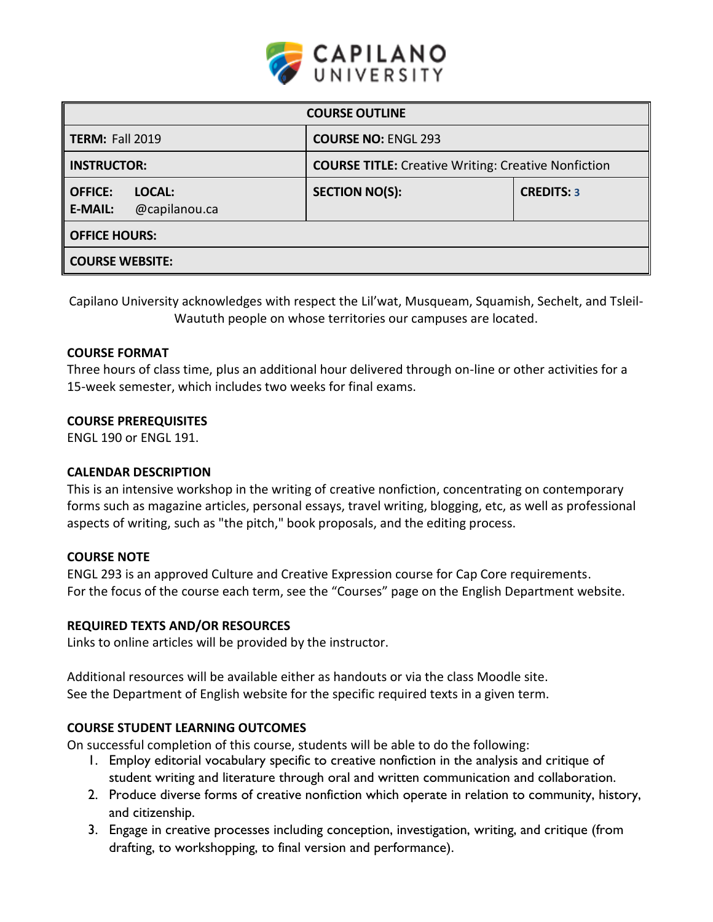

| <b>COURSE OUTLINE</b>                                       |                                                            |                   |  |  |  |
|-------------------------------------------------------------|------------------------------------------------------------|-------------------|--|--|--|
| <b>TERM: Fall 2019</b>                                      | <b>COURSE NO: ENGL 293</b>                                 |                   |  |  |  |
| <b>INSTRUCTOR:</b>                                          | <b>COURSE TITLE:</b> Creative Writing: Creative Nonfiction |                   |  |  |  |
| LOCAL:<br><b>OFFICE:</b><br>@capilanou.ca<br><b>E-MAIL:</b> | <b>SECTION NO(S):</b>                                      | <b>CREDITS: 3</b> |  |  |  |
| <b>OFFICE HOURS:</b>                                        |                                                            |                   |  |  |  |
| <b>COURSE WEBSITE:</b>                                      |                                                            |                   |  |  |  |

Capilano University acknowledges with respect the Lil'wat, Musqueam, Squamish, Sechelt, and Tsleil-Waututh people on whose territories our campuses are located.

## **COURSE FORMAT**

Three hours of class time, plus an additional hour delivered through on-line or other activities for a 15-week semester, which includes two weeks for final exams.

## **COURSE PREREQUISITES**

ENGL 190 or ENGL 191.

## **CALENDAR DESCRIPTION**

This is an intensive workshop in the writing of creative nonfiction, concentrating on contemporary forms such as magazine articles, personal essays, travel writing, blogging, etc, as well as professional aspects of writing, such as "the pitch," book proposals, and the editing process.

## **COURSE NOTE**

ENGL 293 is an approved Culture and Creative Expression course for Cap Core requirements. For the focus of the course each term, see the "Courses" page on the English Department website.

#### **REQUIRED TEXTS AND/OR RESOURCES**

Links to online articles will be provided by the instructor.

Additional resources will be available either as handouts or via the class Moodle site. See the Department of English website for the specific required texts in a given term.

## **COURSE STUDENT LEARNING OUTCOMES**

On successful completion of this course, students will be able to do the following:

- 1. Employ editorial vocabulary specific to creative nonfiction in the analysis and critique of student writing and literature through oral and written communication and collaboration.
- 2. Produce diverse forms of creative nonfiction which operate in relation to community, history, and citizenship.
- 3. Engage in creative processes including conception, investigation, writing, and critique (from drafting, to workshopping, to final version and performance).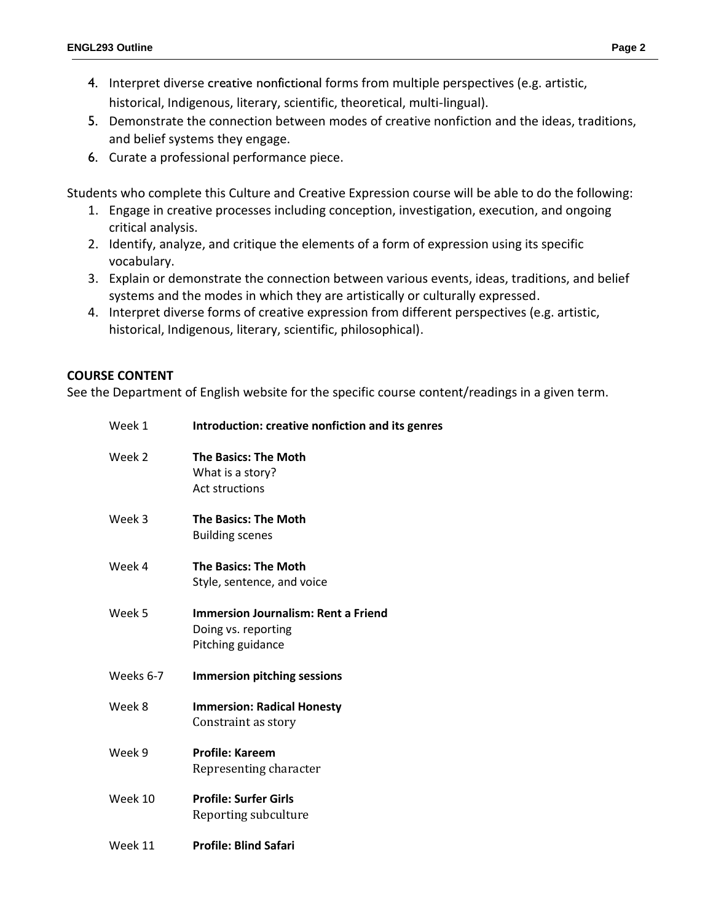- 4. Interpret diverse creative nonfictional forms from multiple perspectives (e.g. artistic, historical, Indigenous, literary, scientific, theoretical, multi-lingual).
- 5. Demonstrate the connection between modes of creative nonfiction and the ideas, traditions, and belief systems they engage.
- 6. Curate a professional performance piece.

Students who complete this Culture and Creative Expression course will be able to do the following:

- 1. Engage in creative processes including conception, investigation, execution, and ongoing critical analysis.
- 2. Identify, analyze, and critique the elements of a form of expression using its specific vocabulary.
- 3. Explain or demonstrate the connection between various events, ideas, traditions, and belief systems and the modes in which they are artistically or culturally expressed.
- 4. Interpret diverse forms of creative expression from different perspectives (e.g. artistic, historical, Indigenous, literary, scientific, philosophical).

## **COURSE CONTENT**

See the Department of English website for the specific course content/readings in a given term.

| Week 1    | Introduction: creative nonfiction and its genres                                       |  |  |
|-----------|----------------------------------------------------------------------------------------|--|--|
| Week 2    | <b>The Basics: The Moth</b><br>What is a story?<br><b>Act structions</b>               |  |  |
| Week 3    | <b>The Basics: The Moth</b><br><b>Building scenes</b>                                  |  |  |
| Week 4    | <b>The Basics: The Moth</b><br>Style, sentence, and voice                              |  |  |
| Week 5    | <b>Immersion Journalism: Rent a Friend</b><br>Doing vs. reporting<br>Pitching guidance |  |  |
| Weeks 6-7 | <b>Immersion pitching sessions</b>                                                     |  |  |
| Week 8    | <b>Immersion: Radical Honesty</b><br>Constraint as story                               |  |  |
| Week 9    | <b>Profile: Kareem</b><br>Representing character                                       |  |  |
| Week 10   | <b>Profile: Surfer Girls</b><br>Reporting subculture                                   |  |  |
| Week 11   | <b>Profile: Blind Safari</b>                                                           |  |  |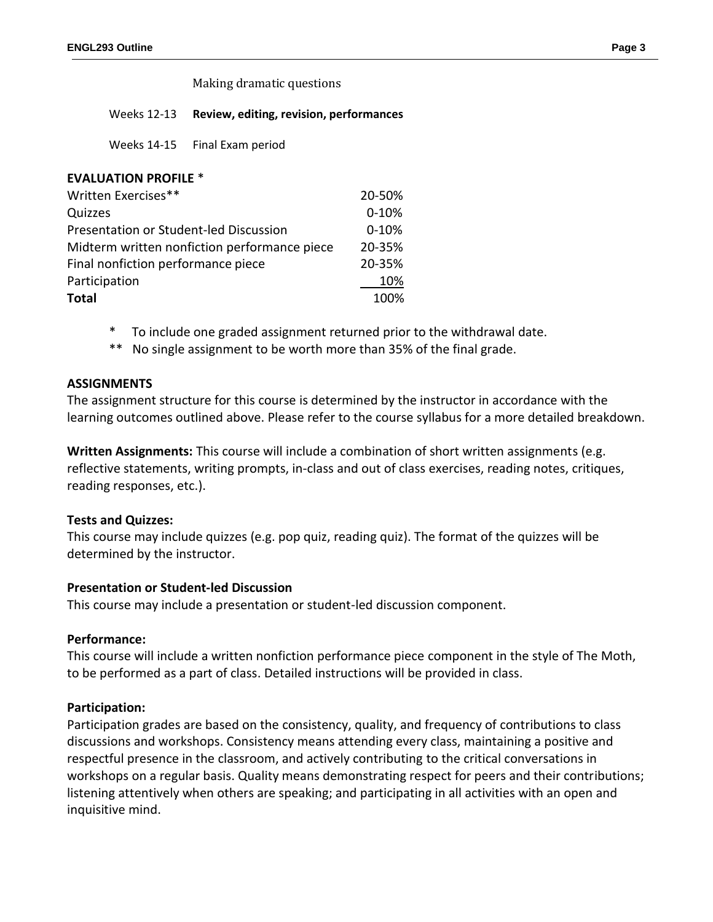Making dramatic questions

#### Weeks 12-13 **Review, editing, revision, performances**

Weeks 14-15 Final Exam period

# **EVALUATION PROFILE** \* Written Exercises\*\* 20-50% Quizzes **0-10%** Presentation or Student-led Discussion 0-10% Midterm written nonfiction performance piece 20-35% Final nonfiction performance piece 20-35% Participation 20% **Total** 100%

- \* To include one graded assignment returned prior to the withdrawal date.
- No single assignment to be worth more than 35% of the final grade.

## **ASSIGNMENTS**

The assignment structure for this course is determined by the instructor in accordance with the learning outcomes outlined above. Please refer to the course syllabus for a more detailed breakdown.

**Written Assignments:** This course will include a combination of short written assignments (e.g. reflective statements, writing prompts, in-class and out of class exercises, reading notes, critiques, reading responses, etc.).

## **Tests and Quizzes:**

This course may include quizzes (e.g. pop quiz, reading quiz). The format of the quizzes will be determined by the instructor.

## **Presentation or Student-led Discussion**

This course may include a presentation or student-led discussion component.

## **Performance:**

This course will include a written nonfiction performance piece component in the style of The Moth, to be performed as a part of class. Detailed instructions will be provided in class.

## **Participation:**

Participation grades are based on the consistency, quality, and frequency of contributions to class discussions and workshops. Consistency means attending every class, maintaining a positive and respectful presence in the classroom, and actively contributing to the critical conversations in workshops on a regular basis. Quality means demonstrating respect for peers and their contributions; listening attentively when others are speaking; and participating in all activities with an open and inquisitive mind.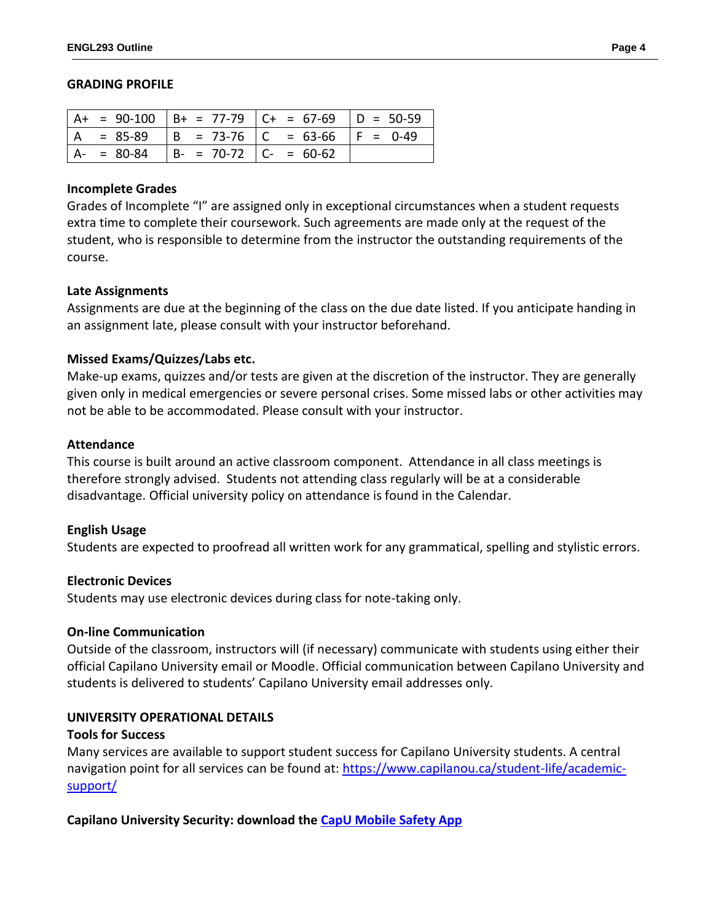#### **GRADING PROFILE**

|     |             |                               | A+ = 90-100   B+ = 77-79   C+ = 67-69   D = 50-59 |  |
|-----|-------------|-------------------------------|---------------------------------------------------|--|
| l A | = 85-89     |                               | $  B = 73-76   C = 63-66   F = 0-49$              |  |
|     | $A - 80-84$ | $  B - = 70-72   C - = 60-62$ |                                                   |  |

#### **Incomplete Grades**

Grades of Incomplete "I" are assigned only in exceptional circumstances when a student requests extra time to complete their coursework. Such agreements are made only at the request of the student, who is responsible to determine from the instructor the outstanding requirements of the course.

## **Late Assignments**

Assignments are due at the beginning of the class on the due date listed. If you anticipate handing in an assignment late, please consult with your instructor beforehand.

## **Missed Exams/Quizzes/Labs etc.**

Make-up exams, quizzes and/or tests are given at the discretion of the instructor. They are generally given only in medical emergencies or severe personal crises. Some missed labs or other activities may not be able to be accommodated. Please consult with your instructor.

#### **Attendance**

This course is built around an active classroom component. Attendance in all class meetings is therefore strongly advised. Students not attending class regularly will be at a considerable disadvantage. Official university policy on attendance is found in the Calendar.

## **English Usage**

Students are expected to proofread all written work for any grammatical, spelling and stylistic errors.

## **Electronic Devices**

Students may use electronic devices during class for note-taking only.

## **On-line Communication**

Outside of the classroom, instructors will (if necessary) communicate with students using either their official Capilano University email or Moodle. Official communication between Capilano University and students is delivered to students' Capilano University email addresses only.

## **UNIVERSITY OPERATIONAL DETAILS**

#### **Tools for Success**

Many services are available to support student success for Capilano University students. A central navigation point for all services can be found at: [https://www.capilanou.ca/student-life/academic](https://www.capilanou.ca/student-life/academic-support/)[support/](https://www.capilanou.ca/student-life/academic-support/)

## **Capilano University Security: download the [CapU Mobile Safety App](https://www.capilanou.ca/services/safety-security/CapU-Mobile-Safety-App/)**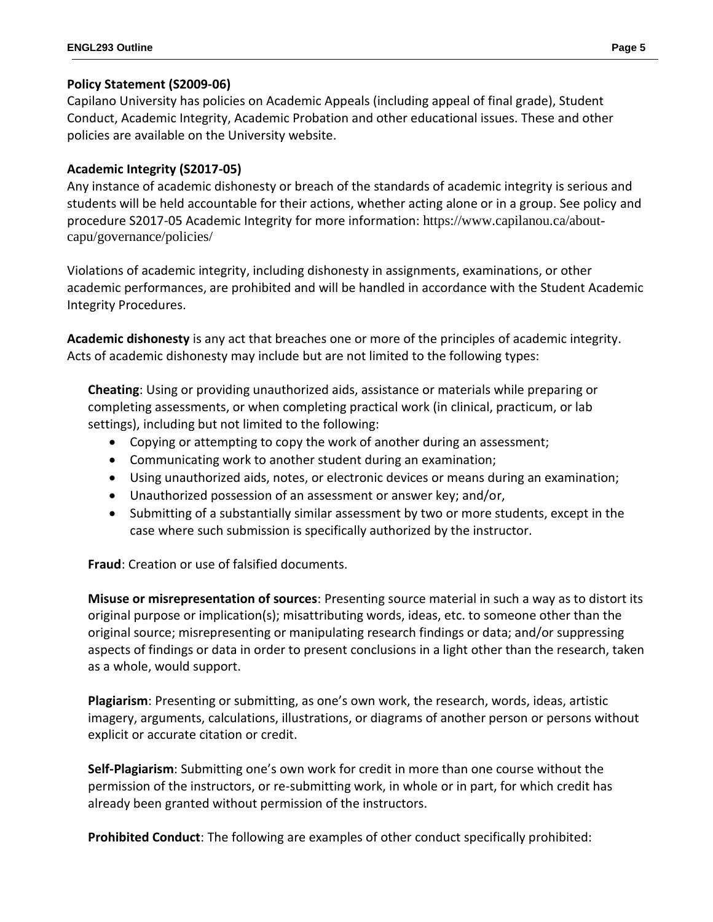# **Policy Statement (S2009-06)**

Capilano University has policies on Academic Appeals (including appeal of final grade), Student Conduct, Academic Integrity, Academic Probation and other educational issues. These and other policies are available on the University website.

# **Academic Integrity (S2017-05)**

Any instance of academic dishonesty or breach of the standards of academic integrity is serious and students will be held accountable for their actions, whether acting alone or in a group. See policy and procedure S2017-05 Academic Integrity for more information: https://www.capilanou.ca/aboutcapu/governance/policies/

Violations of academic integrity, including dishonesty in assignments, examinations, or other academic performances, are prohibited and will be handled in accordance with the Student Academic Integrity Procedures.

**Academic dishonesty** is any act that breaches one or more of the principles of academic integrity. Acts of academic dishonesty may include but are not limited to the following types:

**Cheating**: Using or providing unauthorized aids, assistance or materials while preparing or completing assessments, or when completing practical work (in clinical, practicum, or lab settings), including but not limited to the following:

- Copying or attempting to copy the work of another during an assessment;
- Communicating work to another student during an examination;
- Using unauthorized aids, notes, or electronic devices or means during an examination;
- Unauthorized possession of an assessment or answer key; and/or,
- Submitting of a substantially similar assessment by two or more students, except in the case where such submission is specifically authorized by the instructor.

**Fraud**: Creation or use of falsified documents.

**Misuse or misrepresentation of sources**: Presenting source material in such a way as to distort its original purpose or implication(s); misattributing words, ideas, etc. to someone other than the original source; misrepresenting or manipulating research findings or data; and/or suppressing aspects of findings or data in order to present conclusions in a light other than the research, taken as a whole, would support.

**Plagiarism**: Presenting or submitting, as one's own work, the research, words, ideas, artistic imagery, arguments, calculations, illustrations, or diagrams of another person or persons without explicit or accurate citation or credit.

**Self-Plagiarism**: Submitting one's own work for credit in more than one course without the permission of the instructors, or re-submitting work, in whole or in part, for which credit has already been granted without permission of the instructors.

**Prohibited Conduct**: The following are examples of other conduct specifically prohibited: